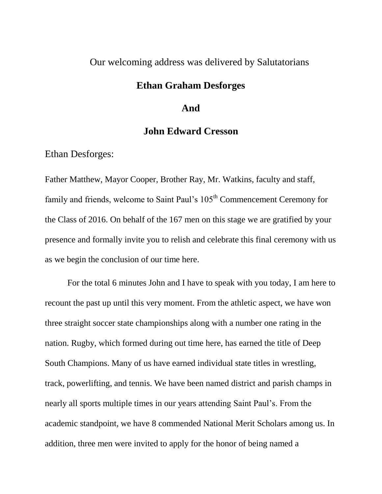### Our welcoming address was delivered by Salutatorians

## **Ethan Graham Desforges**

#### **And**

## **John Edward Cresson**

Ethan Desforges:

Father Matthew, Mayor Cooper, Brother Ray, Mr. Watkins, faculty and staff, family and friends, welcome to Saint Paul's 105<sup>th</sup> Commencement Ceremony for the Class of 2016. On behalf of the 167 men on this stage we are gratified by your presence and formally invite you to relish and celebrate this final ceremony with us as we begin the conclusion of our time here.

For the total 6 minutes John and I have to speak with you today, I am here to recount the past up until this very moment. From the athletic aspect, we have won three straight soccer state championships along with a number one rating in the nation. Rugby, which formed during out time here, has earned the title of Deep South Champions. Many of us have earned individual state titles in wrestling, track, powerlifting, and tennis. We have been named district and parish champs in nearly all sports multiple times in our years attending Saint Paul's. From the academic standpoint, we have 8 commended National Merit Scholars among us. In addition, three men were invited to apply for the honor of being named a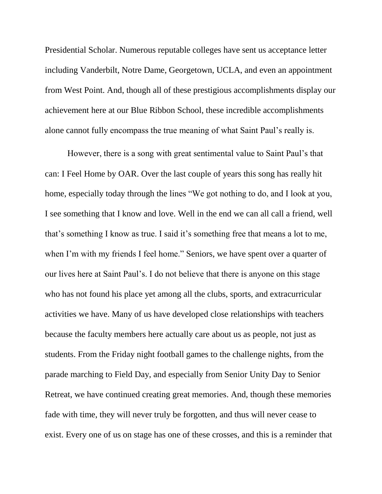Presidential Scholar. Numerous reputable colleges have sent us acceptance letter including Vanderbilt, Notre Dame, Georgetown, UCLA, and even an appointment from West Point. And, though all of these prestigious accomplishments display our achievement here at our Blue Ribbon School, these incredible accomplishments alone cannot fully encompass the true meaning of what Saint Paul's really is.

However, there is a song with great sentimental value to Saint Paul's that can: I Feel Home by OAR. Over the last couple of years this song has really hit home, especially today through the lines "We got nothing to do, and I look at you, I see something that I know and love. Well in the end we can all call a friend, well that's something I know as true. I said it's something free that means a lot to me, when I'm with my friends I feel home." Seniors, we have spent over a quarter of our lives here at Saint Paul's. I do not believe that there is anyone on this stage who has not found his place yet among all the clubs, sports, and extracurricular activities we have. Many of us have developed close relationships with teachers because the faculty members here actually care about us as people, not just as students. From the Friday night football games to the challenge nights, from the parade marching to Field Day, and especially from Senior Unity Day to Senior Retreat, we have continued creating great memories. And, though these memories fade with time, they will never truly be forgotten, and thus will never cease to exist. Every one of us on stage has one of these crosses, and this is a reminder that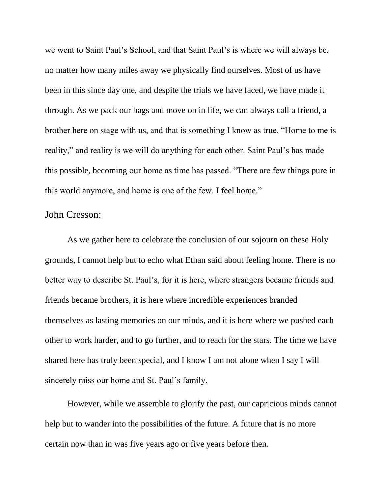we went to Saint Paul's School, and that Saint Paul's is where we will always be, no matter how many miles away we physically find ourselves. Most of us have been in this since day one, and despite the trials we have faced, we have made it through. As we pack our bags and move on in life, we can always call a friend, a brother here on stage with us, and that is something I know as true. "Home to me is reality," and reality is we will do anything for each other. Saint Paul's has made this possible, becoming our home as time has passed. "There are few things pure in this world anymore, and home is one of the few. I feel home."

#### John Cresson:

As we gather here to celebrate the conclusion of our sojourn on these Holy grounds, I cannot help but to echo what Ethan said about feeling home. There is no better way to describe St. Paul's, for it is here, where strangers became friends and friends became brothers, it is here where incredible experiences branded themselves as lasting memories on our minds, and it is here where we pushed each other to work harder, and to go further, and to reach for the stars. The time we have shared here has truly been special, and I know I am not alone when I say I will sincerely miss our home and St. Paul's family.

However, while we assemble to glorify the past, our capricious minds cannot help but to wander into the possibilities of the future. A future that is no more certain now than in was five years ago or five years before then.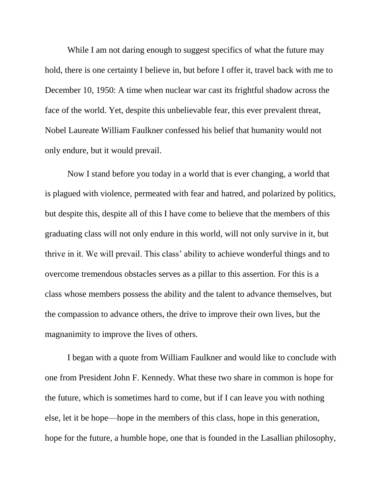While I am not daring enough to suggest specifics of what the future may hold, there is one certainty I believe in, but before I offer it, travel back with me to December 10, 1950: A time when nuclear war cast its frightful shadow across the face of the world. Yet, despite this unbelievable fear, this ever prevalent threat, Nobel Laureate William Faulkner confessed his belief that humanity would not only endure, but it would prevail.

Now I stand before you today in a world that is ever changing, a world that is plagued with violence, permeated with fear and hatred, and polarized by politics, but despite this, despite all of this I have come to believe that the members of this graduating class will not only endure in this world, will not only survive in it, but thrive in it. We will prevail. This class' ability to achieve wonderful things and to overcome tremendous obstacles serves as a pillar to this assertion. For this is a class whose members possess the ability and the talent to advance themselves, but the compassion to advance others, the drive to improve their own lives, but the magnanimity to improve the lives of others.

I began with a quote from William Faulkner and would like to conclude with one from President John F. Kennedy. What these two share in common is hope for the future, which is sometimes hard to come, but if I can leave you with nothing else, let it be hope—hope in the members of this class, hope in this generation, hope for the future, a humble hope, one that is founded in the Lasallian philosophy,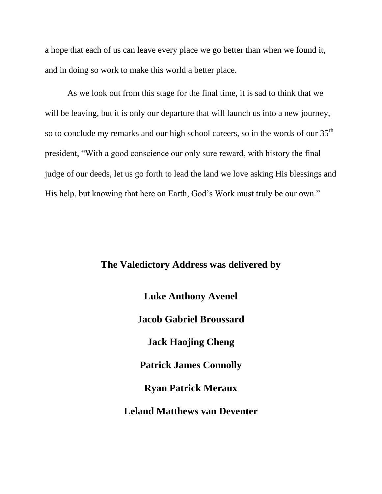a hope that each of us can leave every place we go better than when we found it, and in doing so work to make this world a better place.

As we look out from this stage for the final time, it is sad to think that we will be leaving, but it is only our departure that will launch us into a new journey, so to conclude my remarks and our high school careers, so in the words of our  $35<sup>th</sup>$ president, "With a good conscience our only sure reward, with history the final judge of our deeds, let us go forth to lead the land we love asking His blessings and His help, but knowing that here on Earth, God's Work must truly be our own."

#### **The Valedictory Address was delivered by**

**Luke Anthony Avenel Jacob Gabriel Broussard Jack Haojing Cheng Patrick James Connolly Ryan Patrick Meraux Leland Matthews van Deventer**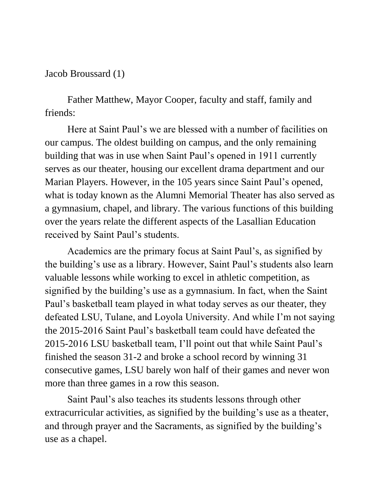## Jacob Broussard (1)

Father Matthew, Mayor Cooper, faculty and staff, family and friends:

Here at Saint Paul's we are blessed with a number of facilities on our campus. The oldest building on campus, and the only remaining building that was in use when Saint Paul's opened in 1911 currently serves as our theater, housing our excellent drama department and our Marian Players. However, in the 105 years since Saint Paul's opened, what is today known as the Alumni Memorial Theater has also served as a gymnasium, chapel, and library. The various functions of this building over the years relate the different aspects of the Lasallian Education received by Saint Paul's students.

Academics are the primary focus at Saint Paul's, as signified by the building's use as a library. However, Saint Paul's students also learn valuable lessons while working to excel in athletic competition, as signified by the building's use as a gymnasium. In fact, when the Saint Paul's basketball team played in what today serves as our theater, they defeated LSU, Tulane, and Loyola University. And while I'm not saying the 2015-2016 Saint Paul's basketball team could have defeated the 2015-2016 LSU basketball team, I'll point out that while Saint Paul's finished the season 31-2 and broke a school record by winning 31 consecutive games, LSU barely won half of their games and never won more than three games in a row this season.

Saint Paul's also teaches its students lessons through other extracurricular activities, as signified by the building's use as a theater, and through prayer and the Sacraments, as signified by the building's use as a chapel.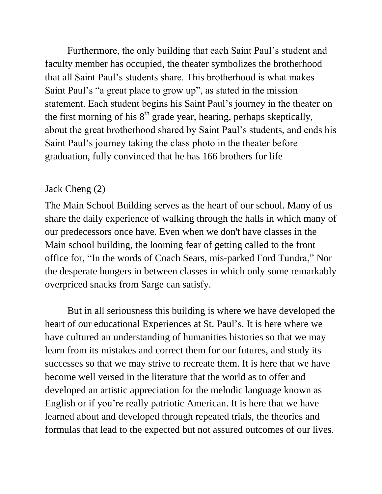Furthermore, the only building that each Saint Paul's student and faculty member has occupied, the theater symbolizes the brotherhood that all Saint Paul's students share. This brotherhood is what makes Saint Paul's "a great place to grow up", as stated in the mission statement. Each student begins his Saint Paul's journey in the theater on the first morning of his  $8<sup>th</sup>$  grade year, hearing, perhaps skeptically, about the great brotherhood shared by Saint Paul's students, and ends his Saint Paul's journey taking the class photo in the theater before graduation, fully convinced that he has 166 brothers for life

## Jack Cheng (2)

The Main School Building serves as the heart of our school. Many of us share the daily experience of walking through the halls in which many of our predecessors once have. Even when we don't have classes in the Main school building, the looming fear of getting called to the front office for, "In the words of Coach Sears, mis-parked Ford Tundra," Nor the desperate hungers in between classes in which only some remarkably overpriced snacks from Sarge can satisfy.

But in all seriousness this building is where we have developed the heart of our educational Experiences at St. Paul's. It is here where we have cultured an understanding of humanities histories so that we may learn from its mistakes and correct them for our futures, and study its successes so that we may strive to recreate them. It is here that we have become well versed in the literature that the world as to offer and developed an artistic appreciation for the melodic language known as English or if you're really patriotic American. It is here that we have learned about and developed through repeated trials, the theories and formulas that lead to the expected but not assured outcomes of our lives.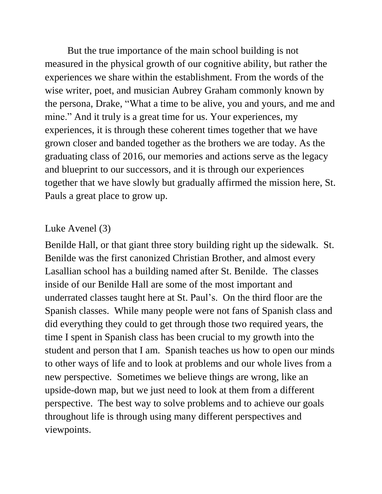But the true importance of the main school building is not measured in the physical growth of our cognitive ability, but rather the experiences we share within the establishment. From the words of the wise writer, poet, and musician Aubrey Graham commonly known by the persona, Drake, "What a time to be alive, you and yours, and me and mine." And it truly is a great time for us. Your experiences, my experiences, it is through these coherent times together that we have grown closer and banded together as the brothers we are today. As the graduating class of 2016, our memories and actions serve as the legacy and blueprint to our successors, and it is through our experiences together that we have slowly but gradually affirmed the mission here, St. Pauls a great place to grow up.

# Luke Avenel (3)

Benilde Hall, or that giant three story building right up the sidewalk. St. Benilde was the first canonized Christian Brother, and almost every Lasallian school has a building named after St. Benilde. The classes inside of our Benilde Hall are some of the most important and underrated classes taught here at St. Paul's. On the third floor are the Spanish classes. While many people were not fans of Spanish class and did everything they could to get through those two required years, the time I spent in Spanish class has been crucial to my growth into the student and person that I am. Spanish teaches us how to open our minds to other ways of life and to look at problems and our whole lives from a new perspective. Sometimes we believe things are wrong, like an upside-down map, but we just need to look at them from a different perspective. The best way to solve problems and to achieve our goals throughout life is through using many different perspectives and viewpoints.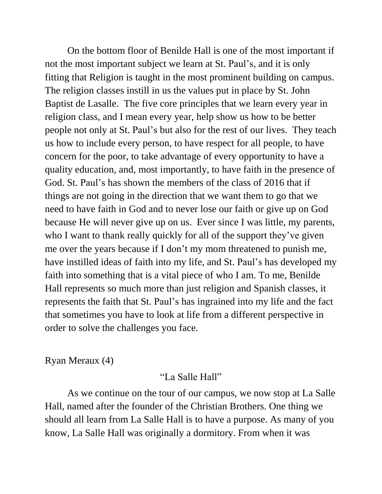On the bottom floor of Benilde Hall is one of the most important if not the most important subject we learn at St. Paul's, and it is only fitting that Religion is taught in the most prominent building on campus. The religion classes instill in us the values put in place by St. John Baptist de Lasalle. The five core principles that we learn every year in religion class, and I mean every year, help show us how to be better people not only at St. Paul's but also for the rest of our lives. They teach us how to include every person, to have respect for all people, to have concern for the poor, to take advantage of every opportunity to have a quality education, and, most importantly, to have faith in the presence of God. St. Paul's has shown the members of the class of 2016 that if things are not going in the direction that we want them to go that we need to have faith in God and to never lose our faith or give up on God because He will never give up on us. Ever since I was little, my parents, who I want to thank really quickly for all of the support they've given me over the years because if I don't my mom threatened to punish me, have instilled ideas of faith into my life, and St. Paul's has developed my faith into something that is a vital piece of who I am. To me, Benilde Hall represents so much more than just religion and Spanish classes, it represents the faith that St. Paul's has ingrained into my life and the fact that sometimes you have to look at life from a different perspective in order to solve the challenges you face.

## Ryan Meraux (4)

## "La Salle Hall"

As we continue on the tour of our campus, we now stop at La Salle Hall, named after the founder of the Christian Brothers. One thing we should all learn from La Salle Hall is to have a purpose. As many of you know, La Salle Hall was originally a dormitory. From when it was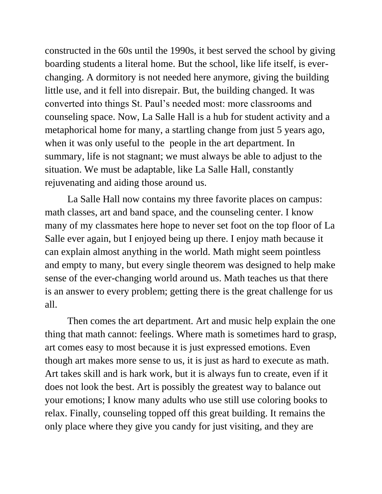constructed in the 60s until the 1990s, it best served the school by giving boarding students a literal home. But the school, like life itself, is everchanging. A dormitory is not needed here anymore, giving the building little use, and it fell into disrepair. But, the building changed. It was converted into things St. Paul's needed most: more classrooms and counseling space. Now, La Salle Hall is a hub for student activity and a metaphorical home for many, a startling change from just 5 years ago, when it was only useful to the people in the art department. In summary, life is not stagnant; we must always be able to adjust to the situation. We must be adaptable, like La Salle Hall, constantly rejuvenating and aiding those around us.

La Salle Hall now contains my three favorite places on campus: math classes, art and band space, and the counseling center. I know many of my classmates here hope to never set foot on the top floor of La Salle ever again, but I enjoyed being up there. I enjoy math because it can explain almost anything in the world. Math might seem pointless and empty to many, but every single theorem was designed to help make sense of the ever-changing world around us. Math teaches us that there is an answer to every problem; getting there is the great challenge for us all.

Then comes the art department. Art and music help explain the one thing that math cannot: feelings. Where math is sometimes hard to grasp, art comes easy to most because it is just expressed emotions. Even though art makes more sense to us, it is just as hard to execute as math. Art takes skill and is hark work, but it is always fun to create, even if it does not look the best. Art is possibly the greatest way to balance out your emotions; I know many adults who use still use coloring books to relax. Finally, counseling topped off this great building. It remains the only place where they give you candy for just visiting, and they are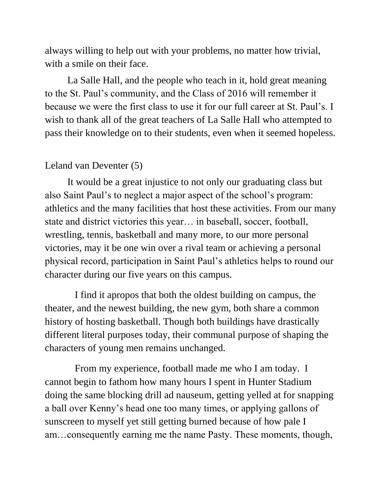always willing to help out with your problems, no matter how trivial, with a smile on their face.

La Salle Hall, and the people who teach in it, hold great meaning to the St. Paul's community, and the Class of 2016 will remember it because we were the first class to use it for our full career at St. Paul's. I wish to thank all of the great teachers of La Salle Hall who attempted to pass their knowledge on to their students, even when it seemed hopeless.

# Leland van Deventer (5)

It would be a great injustice to not only our graduating class but also Saint Paul's to neglect a major aspect of the school's program: athletics and the many facilities that host these activities. From our many state and district victories this year… in baseball, soccer, football, wrestling, tennis, basketball and many more, to our more personal victories, may it be one win over a rival team or achieving a personal physical record, participation in Saint Paul's athletics helps to round our character during our five years on this campus.

 I find it apropos that both the oldest building on campus, the theater, and the newest building, the new gym, both share a common history of hosting basketball. Though both buildings have drastically different literal purposes today, their communal purpose of shaping the characters of young men remains unchanged.

 From my experience, football made me who I am today. I cannot begin to fathom how many hours I spent in Hunter Stadium doing the same blocking drill ad nauseum, getting yelled at for snapping a ball over Kenny's head one too many times, or applying gallons of sunscreen to myself yet still getting burned because of how pale I am…consequently earning me the name Pasty. These moments, though,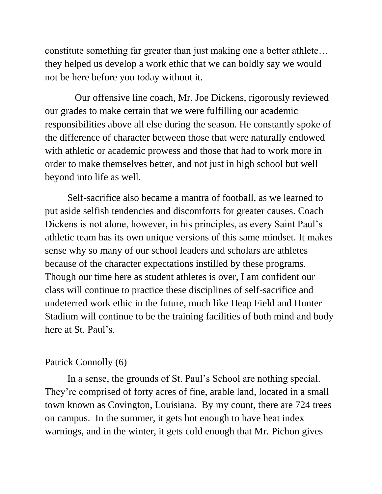constitute something far greater than just making one a better athlete… they helped us develop a work ethic that we can boldly say we would not be here before you today without it.

 Our offensive line coach, Mr. Joe Dickens, rigorously reviewed our grades to make certain that we were fulfilling our academic responsibilities above all else during the season. He constantly spoke of the difference of character between those that were naturally endowed with athletic or academic prowess and those that had to work more in order to make themselves better, and not just in high school but well beyond into life as well.

Self-sacrifice also became a mantra of football, as we learned to put aside selfish tendencies and discomforts for greater causes. Coach Dickens is not alone, however, in his principles, as every Saint Paul's athletic team has its own unique versions of this same mindset. It makes sense why so many of our school leaders and scholars are athletes because of the character expectations instilled by these programs. Though our time here as student athletes is over, I am confident our class will continue to practice these disciplines of self-sacrifice and undeterred work ethic in the future, much like Heap Field and Hunter Stadium will continue to be the training facilities of both mind and body here at St. Paul's.

## Patrick Connolly (6)

In a sense, the grounds of St. Paul's School are nothing special. They're comprised of forty acres of fine, arable land, located in a small town known as Covington, Louisiana. By my count, there are 724 trees on campus. In the summer, it gets hot enough to have heat index warnings, and in the winter, it gets cold enough that Mr. Pichon gives